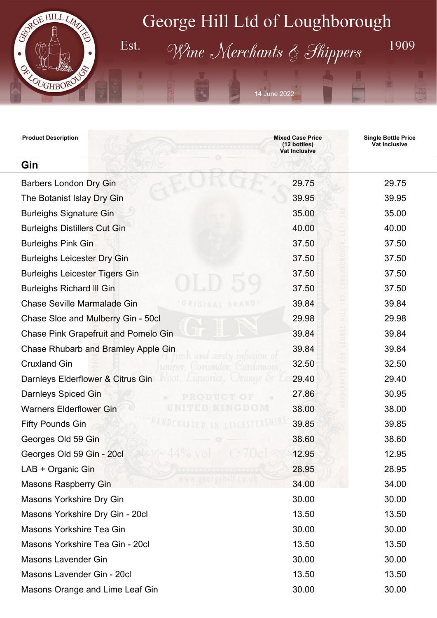

Est.

## George Hill Ltd of Loughborough

Wine Merchants & Shippers

14 June 2022

1909

| <b>Product Description</b>                                     | <b>Mixed Case Price</b><br>(12 bottles)<br>Vat Inclusive | <b>Single Bottle Price</b><br>Vat Inclusive |
|----------------------------------------------------------------|----------------------------------------------------------|---------------------------------------------|
| Gin                                                            |                                                          |                                             |
| <b>Barbers London Dry Gin</b>                                  | 29.75                                                    | 29.75                                       |
| The Botanist Islay Dry Gin                                     | 39.95                                                    | 39.95                                       |
| <b>Burleighs Signature Gin</b>                                 | 35.00                                                    | 35.00                                       |
| <b>Burleighs Distillers Cut Gin</b>                            | 40.00                                                    | 40.00                                       |
| <b>Burleighs Pink Gin</b>                                      | 37.50                                                    | 37.50                                       |
| <b>Burleighs Leicester Dry Gin</b>                             | 37.50                                                    | 37.50                                       |
| <b>Burleighs Leicester Tigers Gin</b>                          | 37.50                                                    | 37.50                                       |
| <b>Burleighs Richard III Gin</b>                               | 37.50                                                    | 37.50                                       |
| <b>Chase Seville Marmalade Gin</b><br>ORIGINAL<br><b>RRA</b>   | 39.84                                                    | 39.84                                       |
| Chase Sloe and Mulberry Gin - 50cl                             | 29.98                                                    | 29.98                                       |
| <b>Chase Pink Grapefruit and Pomelo Gin</b>                    | 39.84                                                    | 39.84                                       |
| Chase Rhubarb and Bramley Apple Gin                            | 39.84                                                    | 39.84                                       |
| trifusion o<br><b>Cruxland Gin</b><br>отапает<br>zardamom      | 32.50                                                    | 32.50                                       |
| Root, Liquorice, Urange &<br>Darnleys Elderflower & Citrus Gin | 29.40                                                    | 29.40                                       |
| <b>Darnleys Spiced Gin</b>                                     | 27.86                                                    | 30.95                                       |
| <b>Warners Elderflower Gin</b>                                 | 38.00                                                    | 38.00                                       |
| <b>Fifty Pounds Gin</b>                                        | 39.85                                                    | 39.85                                       |
| Georges Old 59 Gin                                             | 38.60                                                    | 38.60                                       |
| Georges Old 59 Gin - 20cl                                      | 12.95                                                    | 12.95                                       |
| LAB + Organic Gin                                              | 28.95                                                    | 28.95                                       |
| www.georgehill.co.uk<br><b>Masons Raspberry Gin</b>            | 34.00                                                    | 34.00                                       |
| <b>Masons Yorkshire Dry Gin</b>                                | 30.00                                                    | 30.00                                       |
| Masons Yorkshire Dry Gin - 20cl                                | 13.50                                                    | 13.50                                       |
| Masons Yorkshire Tea Gin                                       | 30.00                                                    | 30.00                                       |
| Masons Yorkshire Tea Gin - 20cl                                | 13.50                                                    | 13.50                                       |
| <b>Masons Lavender Gin</b>                                     | 30.00                                                    | 30.00                                       |
| Masons Lavender Gin - 20cl                                     | 13.50                                                    | 13.50                                       |
| Masons Orange and Lime Leaf Gin                                | 30.00                                                    | 30.00                                       |